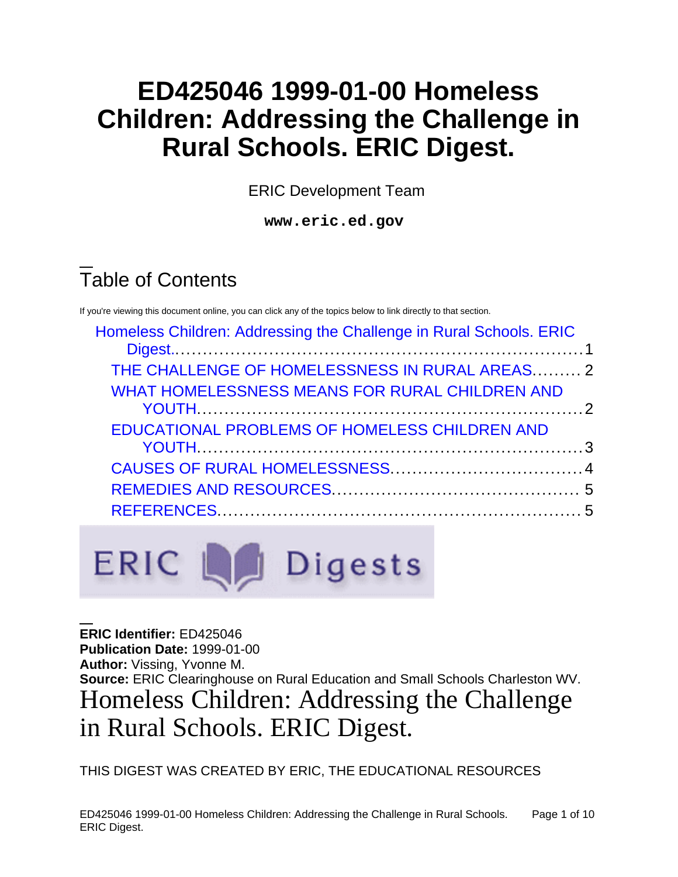# **ED425046 1999-01-00 Homeless Children: Addressing the Challenge in Rural Schools. ERIC Digest.**

ERIC Development Team

**www.eric.ed.gov**

# Table of Contents

If you're viewing this document online, you can click any of the topics below to link directly to that section.

| Homeless Children: Addressing the Challenge in Rural Schools. ERIC |  |
|--------------------------------------------------------------------|--|
| THE CHALLENGE OF HOMELESSNESS IN RURAL AREAS 2                     |  |
| WHAT HOMELESSNESS MEANS FOR RURAL CHILDREN AND                     |  |
| EDUCATIONAL PROBLEMS OF HOMELESS CHILDREN AND                      |  |
|                                                                    |  |
|                                                                    |  |
|                                                                    |  |
|                                                                    |  |

# **ERIC Le Digests**

<span id="page-0-0"></span>**ERIC Identifier:** ED425046 **Publication Date:** 1999-01-00 **Author:** Vissing, Yvonne M. **Source:** ERIC Clearinghouse on Rural Education and Small Schools Charleston WV. Homeless Children: Addressing the Challenge in Rural Schools. ERIC Digest.

THIS DIGEST WAS CREATED BY ERIC, THE EDUCATIONAL RESOURCES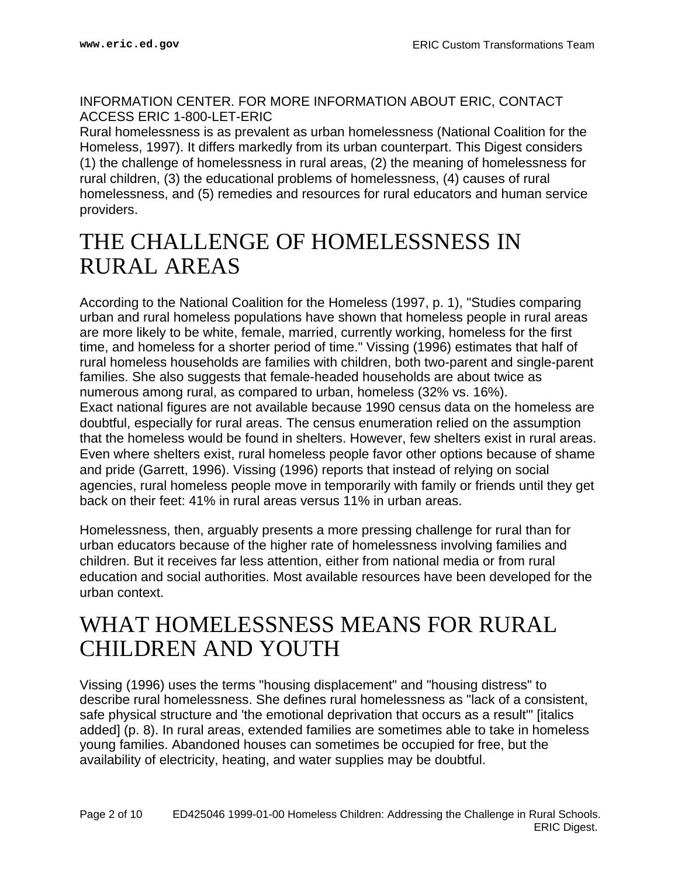INFORMATION CENTER. FOR MORE INFORMATION ABOUT ERIC, CONTACT ACCESS ERIC 1-800-LET-ERIC

Rural homelessness is as prevalent as urban homelessness (National Coalition for the Homeless, 1997). It differs markedly from its urban counterpart. This Digest considers (1) the challenge of homelessness in rural areas, (2) the meaning of homelessness for rural children, (3) the educational problems of homelessness, (4) causes of rural homelessness, and (5) remedies and resources for rural educators and human service providers.

# <span id="page-1-0"></span>THE CHALLENGE OF HOMELESSNESS IN RURAL AREAS

According to the National Coalition for the Homeless (1997, p. 1), "Studies comparing urban and rural homeless populations have shown that homeless people in rural areas are more likely to be white, female, married, currently working, homeless for the first time, and homeless for a shorter period of time." Vissing (1996) estimates that half of rural homeless households are families with children, both two-parent and single-parent families. She also suggests that female-headed households are about twice as numerous among rural, as compared to urban, homeless (32% vs. 16%). Exact national figures are not available because 1990 census data on the homeless are doubtful, especially for rural areas. The census enumeration relied on the assumption that the homeless would be found in shelters. However, few shelters exist in rural areas. Even where shelters exist, rural homeless people favor other options because of shame and pride (Garrett, 1996). Vissing (1996) reports that instead of relying on social agencies, rural homeless people move in temporarily with family or friends until they get back on their feet: 41% in rural areas versus 11% in urban areas.

Homelessness, then, arguably presents a more pressing challenge for rural than for urban educators because of the higher rate of homelessness involving families and children. But it receives far less attention, either from national media or from rural education and social authorities. Most available resources have been developed for the urban context.

## <span id="page-1-1"></span>WHAT HOMELESSNESS MEANS FOR RURAL CHILDREN AND YOUTH

Vissing (1996) uses the terms "housing displacement" and "housing distress" to describe rural homelessness. She defines rural homelessness as "lack of a consistent, safe physical structure and 'the emotional deprivation that occurs as a result'" [italics added] (p. 8). In rural areas, extended families are sometimes able to take in homeless young families. Abandoned houses can sometimes be occupied for free, but the availability of electricity, heating, and water supplies may be doubtful.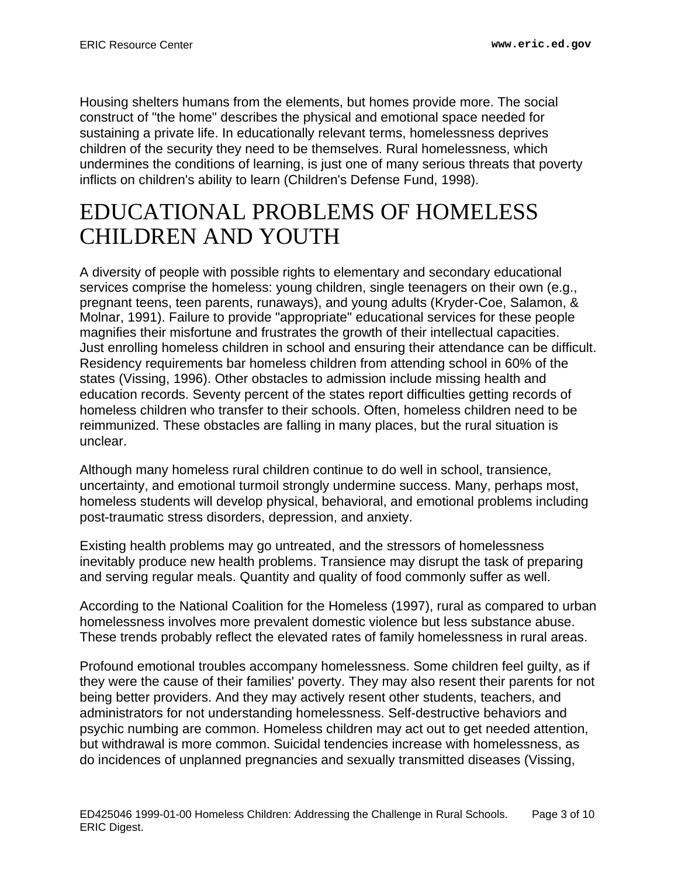Housing shelters humans from the elements, but homes provide more. The social construct of "the home" describes the physical and emotional space needed for sustaining a private life. In educationally relevant terms, homelessness deprives children of the security they need to be themselves. Rural homelessness, which undermines the conditions of learning, is just one of many serious threats that poverty inflicts on children's ability to learn (Children's Defense Fund, 1998).

# <span id="page-2-0"></span>EDUCATIONAL PROBLEMS OF HOMELESS CHILDREN AND YOUTH

A diversity of people with possible rights to elementary and secondary educational services comprise the homeless: young children, single teenagers on their own (e.g., pregnant teens, teen parents, runaways), and young adults (Kryder-Coe, Salamon, & Molnar, 1991). Failure to provide "appropriate" educational services for these people magnifies their misfortune and frustrates the growth of their intellectual capacities. Just enrolling homeless children in school and ensuring their attendance can be difficult. Residency requirements bar homeless children from attending school in 60% of the states (Vissing, 1996). Other obstacles to admission include missing health and education records. Seventy percent of the states report difficulties getting records of homeless children who transfer to their schools. Often, homeless children need to be reimmunized. These obstacles are falling in many places, but the rural situation is unclear.

Although many homeless rural children continue to do well in school, transience, uncertainty, and emotional turmoil strongly undermine success. Many, perhaps most, homeless students will develop physical, behavioral, and emotional problems including post-traumatic stress disorders, depression, and anxiety.

Existing health problems may go untreated, and the stressors of homelessness inevitably produce new health problems. Transience may disrupt the task of preparing and serving regular meals. Quantity and quality of food commonly suffer as well.

According to the National Coalition for the Homeless (1997), rural as compared to urban homelessness involves more prevalent domestic violence but less substance abuse. These trends probably reflect the elevated rates of family homelessness in rural areas.

Profound emotional troubles accompany homelessness. Some children feel guilty, as if they were the cause of their families' poverty. They may also resent their parents for not being better providers. And they may actively resent other students, teachers, and administrators for not understanding homelessness. Self-destructive behaviors and psychic numbing are common. Homeless children may act out to get needed attention, but withdrawal is more common. Suicidal tendencies increase with homelessness, as do incidences of unplanned pregnancies and sexually transmitted diseases (Vissing,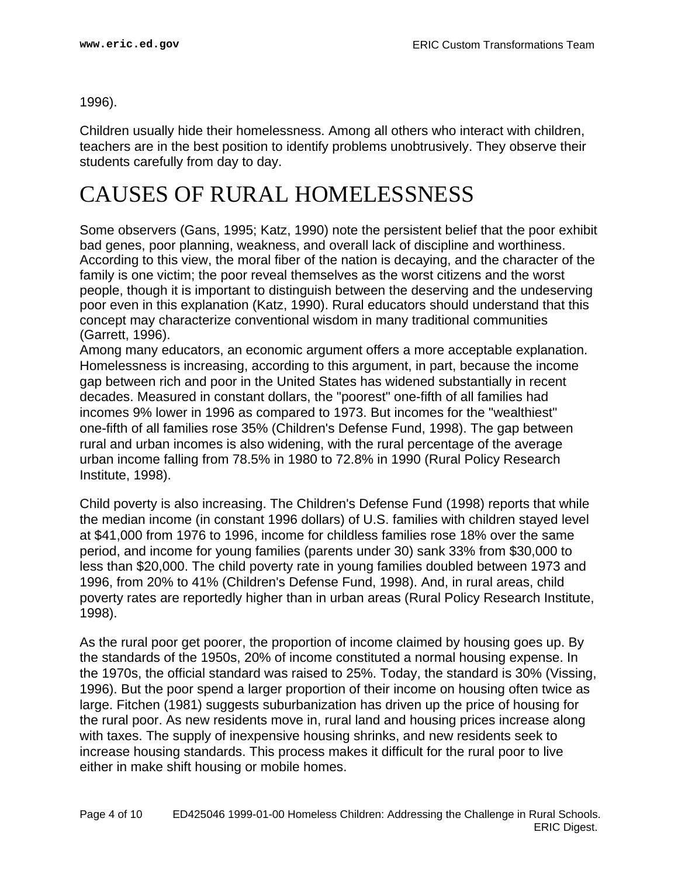1996).

Children usually hide their homelessness. Among all others who interact with children, teachers are in the best position to identify problems unobtrusively. They observe their students carefully from day to day.

# <span id="page-3-0"></span>CAUSES OF RURAL HOMELESSNESS

Some observers (Gans, 1995; Katz, 1990) note the persistent belief that the poor exhibit bad genes, poor planning, weakness, and overall lack of discipline and worthiness. According to this view, the moral fiber of the nation is decaying, and the character of the family is one victim; the poor reveal themselves as the worst citizens and the worst people, though it is important to distinguish between the deserving and the undeserving poor even in this explanation (Katz, 1990). Rural educators should understand that this concept may characterize conventional wisdom in many traditional communities (Garrett, 1996).

Among many educators, an economic argument offers a more acceptable explanation. Homelessness is increasing, according to this argument, in part, because the income gap between rich and poor in the United States has widened substantially in recent decades. Measured in constant dollars, the "poorest" one-fifth of all families had incomes 9% lower in 1996 as compared to 1973. But incomes for the "wealthiest" one-fifth of all families rose 35% (Children's Defense Fund, 1998). The gap between rural and urban incomes is also widening, with the rural percentage of the average urban income falling from 78.5% in 1980 to 72.8% in 1990 (Rural Policy Research Institute, 1998).

Child poverty is also increasing. The Children's Defense Fund (1998) reports that while the median income (in constant 1996 dollars) of U.S. families with children stayed level at \$41,000 from 1976 to 1996, income for childless families rose 18% over the same period, and income for young families (parents under 30) sank 33% from \$30,000 to less than \$20,000. The child poverty rate in young families doubled between 1973 and 1996, from 20% to 41% (Children's Defense Fund, 1998). And, in rural areas, child poverty rates are reportedly higher than in urban areas (Rural Policy Research Institute, 1998).

As the rural poor get poorer, the proportion of income claimed by housing goes up. By the standards of the 1950s, 20% of income constituted a normal housing expense. In the 1970s, the official standard was raised to 25%. Today, the standard is 30% (Vissing, 1996). But the poor spend a larger proportion of their income on housing often twice as large. Fitchen (1981) suggests suburbanization has driven up the price of housing for the rural poor. As new residents move in, rural land and housing prices increase along with taxes. The supply of inexpensive housing shrinks, and new residents seek to increase housing standards. This process makes it difficult for the rural poor to live either in make shift housing or mobile homes.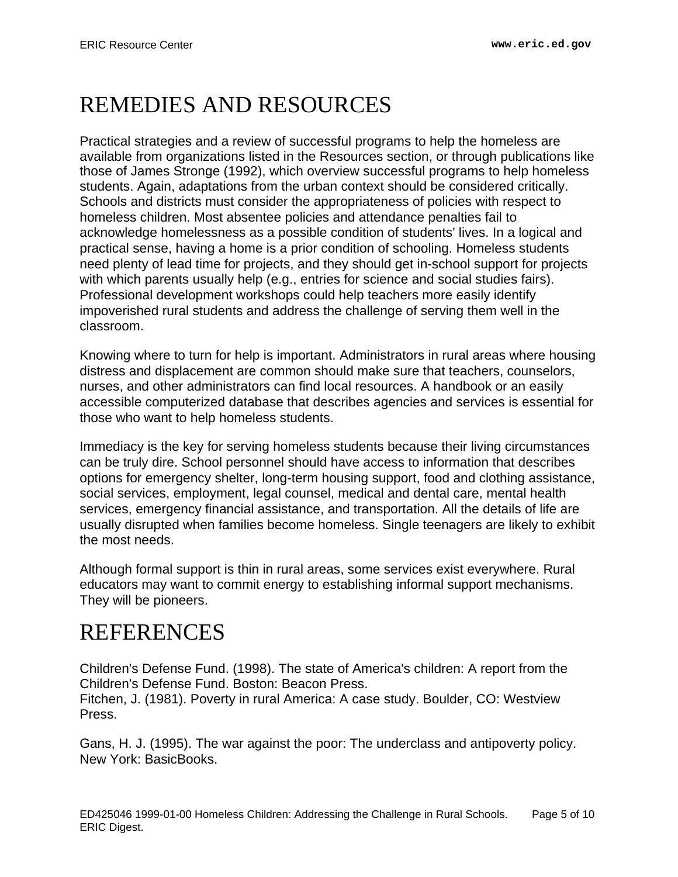# <span id="page-4-0"></span>REMEDIES AND RESOURCES

Practical strategies and a review of successful programs to help the homeless are available from organizations listed in the Resources section, or through publications like those of James Stronge (1992), which overview successful programs to help homeless students. Again, adaptations from the urban context should be considered critically. Schools and districts must consider the appropriateness of policies with respect to homeless children. Most absentee policies and attendance penalties fail to acknowledge homelessness as a possible condition of students' lives. In a logical and practical sense, having a home is a prior condition of schooling. Homeless students need plenty of lead time for projects, and they should get in-school support for projects with which parents usually help (e.g., entries for science and social studies fairs). Professional development workshops could help teachers more easily identify impoverished rural students and address the challenge of serving them well in the classroom.

Knowing where to turn for help is important. Administrators in rural areas where housing distress and displacement are common should make sure that teachers, counselors, nurses, and other administrators can find local resources. A handbook or an easily accessible computerized database that describes agencies and services is essential for those who want to help homeless students.

Immediacy is the key for serving homeless students because their living circumstances can be truly dire. School personnel should have access to information that describes options for emergency shelter, long-term housing support, food and clothing assistance, social services, employment, legal counsel, medical and dental care, mental health services, emergency financial assistance, and transportation. All the details of life are usually disrupted when families become homeless. Single teenagers are likely to exhibit the most needs.

Although formal support is thin in rural areas, some services exist everywhere. Rural educators may want to commit energy to establishing informal support mechanisms. They will be pioneers.

# <span id="page-4-1"></span>REFERENCES

Children's Defense Fund. (1998). The state of America's children: A report from the Children's Defense Fund. Boston: Beacon Press. Fitchen, J. (1981). Poverty in rural America: A case study. Boulder, CO: Westview Press.

Gans, H. J. (1995). The war against the poor: The underclass and antipoverty policy. New York: BasicBooks.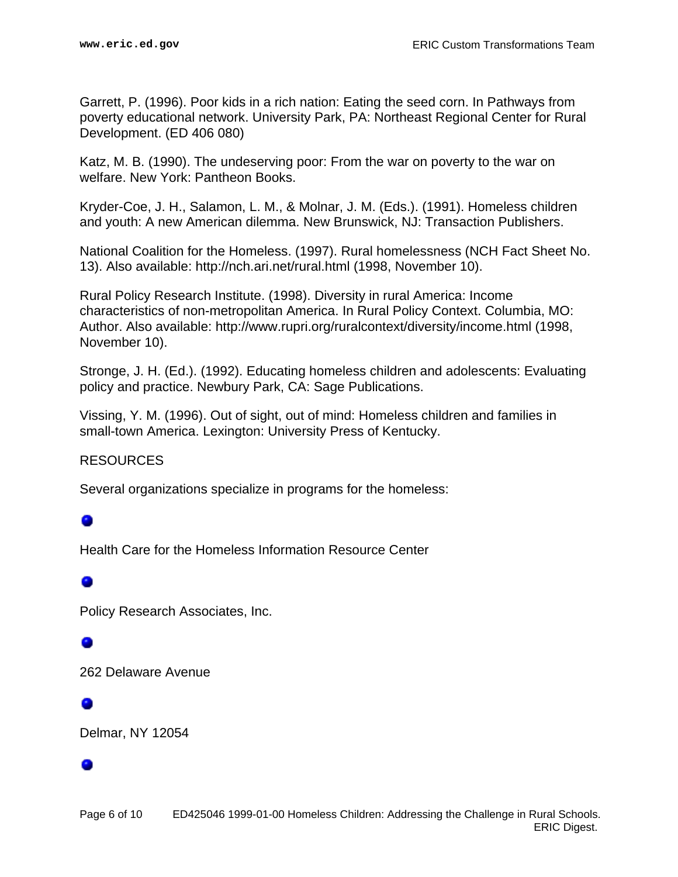Garrett, P. (1996). Poor kids in a rich nation: Eating the seed corn. In Pathways from poverty educational network. University Park, PA: Northeast Regional Center for Rural Development. (ED 406 080)

Katz, M. B. (1990). The undeserving poor: From the war on poverty to the war on welfare. New York: Pantheon Books.

Kryder-Coe, J. H., Salamon, L. M., & Molnar, J. M. (Eds.). (1991). Homeless children and youth: A new American dilemma. New Brunswick, NJ: Transaction Publishers.

National Coalition for the Homeless. (1997). Rural homelessness (NCH Fact Sheet No. 13). Also available: http://nch.ari.net/rural.html (1998, November 10).

Rural Policy Research Institute. (1998). Diversity in rural America: Income characteristics of non-metropolitan America. In Rural Policy Context. Columbia, MO: Author. Also available: http://www.rupri.org/ruralcontext/diversity/income.html (1998, November 10).

Stronge, J. H. (Ed.). (1992). Educating homeless children and adolescents: Evaluating policy and practice. Newbury Park, CA: Sage Publications.

Vissing, Y. M. (1996). Out of sight, out of mind: Homeless children and families in small-town America. Lexington: University Press of Kentucky.

RESOURCES

Several organizations specialize in programs for the homeless:

#### ۰

Health Care for the Homeless Information Resource Center

Policy Research Associates, Inc.

#### $\bullet$

262 Delaware Avenue

#### 0

Delmar, NY 12054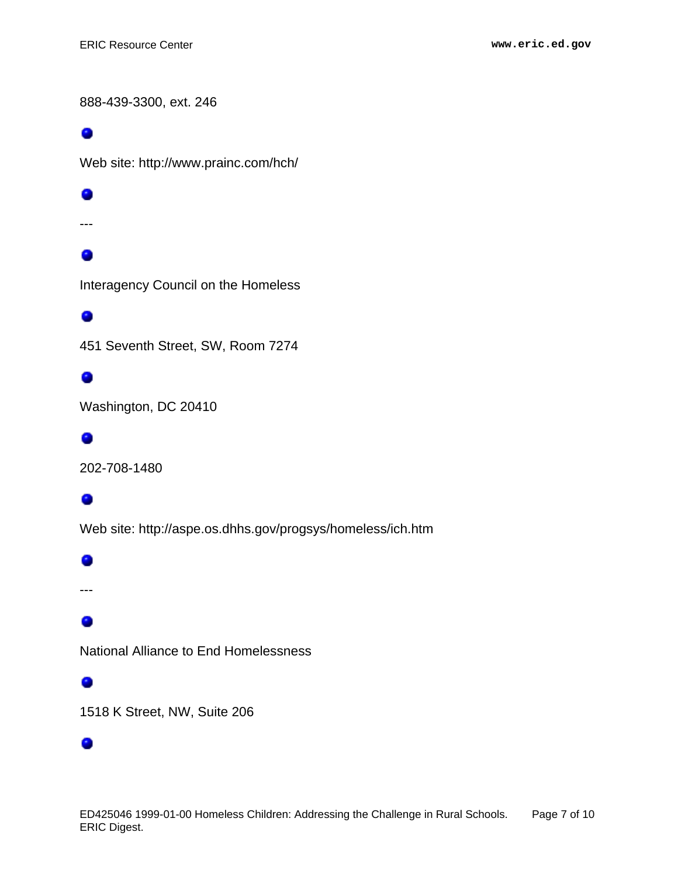888-439-3300, ext. 246

۰

Web site: http://www.prainc.com/hch/

0

---

## 0

Interagency Council on the Homeless

#### 0

451 Seventh Street, SW, Room 7274

#### 0

Washington, DC 20410

#### ۰

202-708-1480

#### 0

Web site: http://aspe.os.dhhs.gov/progsys/homeless/ich.htm

#### ۰

---

#### 0

National Alliance to End Homelessness

#### 0

1518 K Street, NW, Suite 206

#### ۰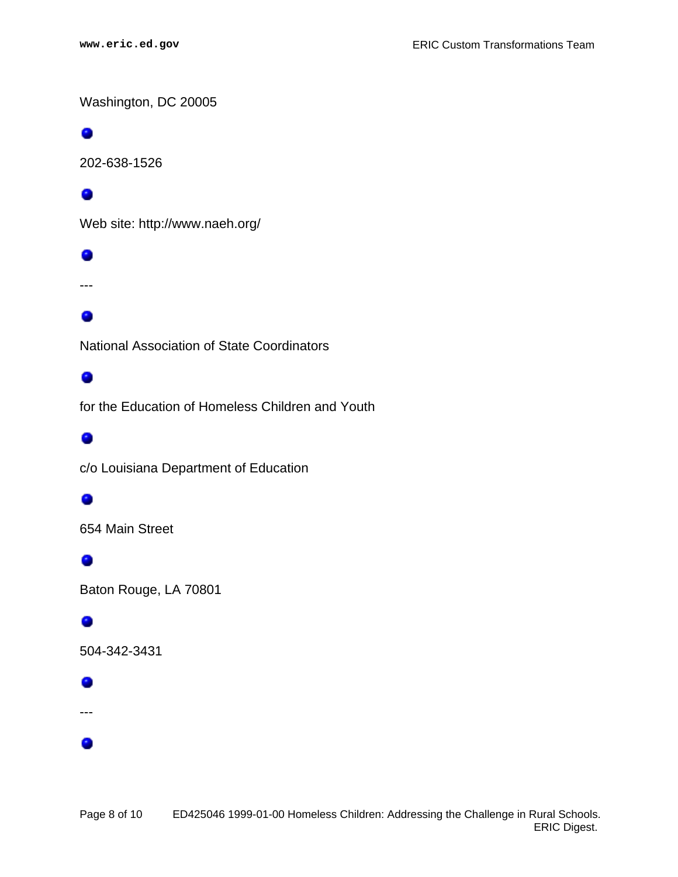Washington, DC 20005

#### 0

202-638-1526

#### 0

Web site: http://www.naeh.org/

#### 0

---

#### ۰

National Association of State Coordinators

#### 0

for the Education of Homeless Children and Youth

#### ۰

c/o Louisiana Department of Education

#### 0

654 Main Street

#### 0

Baton Rouge, LA 70801

#### 0

504-342-3431

#### ۰

---

۰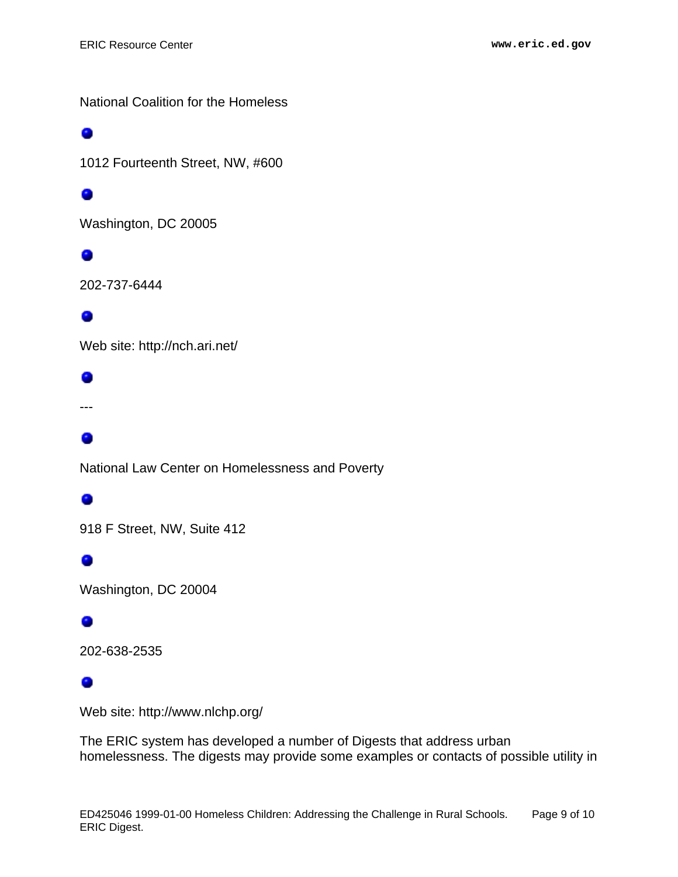National Coalition for the Homeless

#### ۰

1012 Fourteenth Street, NW, #600

#### ۰

Washington, DC 20005

#### 0

202-737-6444

#### ۰

Web site: http://nch.ari.net/

#### 0

---

#### ۰

National Law Center on Homelessness and Poverty

## 0

918 F Street, NW, Suite 412

#### ۰

Washington, DC 20004

#### 0

202-638-2535

#### 0

Web site: http://www.nlchp.org/

The ERIC system has developed a number of Digests that address urban homelessness. The digests may provide some examples or contacts of possible utility in